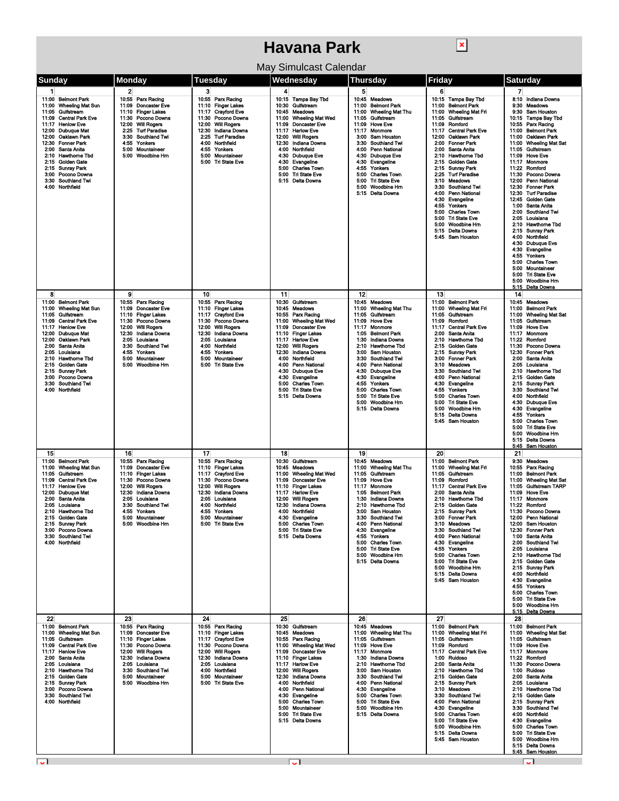## **Havana Park**

 $\boxed{\textbf{x}}$ 

| May Simulcast Calendar |  |
|------------------------|--|
|------------------------|--|

|                                                                                                                                                                                                                                                                                                                                                                                                       |                                                                                                                                                                                                                                                                                   |                                                                                                                                                                                                                                                         | ividy Əlifiyicası Calefiyal                                                                                                                                                                                                                                                                                                                                                                                                                                  |                                                                                                                                                                                                                                                                                                                                                                                                                                                                                                |                                                                                                                                                                                                                                                                                                                                                                                                                                                                                                                                                                                                                                   |                                                                                                                                                                                                                                                                                                                                                                                                                                                                                                                                                                                                                                                                                                                                                                                                                                         |
|-------------------------------------------------------------------------------------------------------------------------------------------------------------------------------------------------------------------------------------------------------------------------------------------------------------------------------------------------------------------------------------------------------|-----------------------------------------------------------------------------------------------------------------------------------------------------------------------------------------------------------------------------------------------------------------------------------|---------------------------------------------------------------------------------------------------------------------------------------------------------------------------------------------------------------------------------------------------------|--------------------------------------------------------------------------------------------------------------------------------------------------------------------------------------------------------------------------------------------------------------------------------------------------------------------------------------------------------------------------------------------------------------------------------------------------------------|------------------------------------------------------------------------------------------------------------------------------------------------------------------------------------------------------------------------------------------------------------------------------------------------------------------------------------------------------------------------------------------------------------------------------------------------------------------------------------------------|-----------------------------------------------------------------------------------------------------------------------------------------------------------------------------------------------------------------------------------------------------------------------------------------------------------------------------------------------------------------------------------------------------------------------------------------------------------------------------------------------------------------------------------------------------------------------------------------------------------------------------------|-----------------------------------------------------------------------------------------------------------------------------------------------------------------------------------------------------------------------------------------------------------------------------------------------------------------------------------------------------------------------------------------------------------------------------------------------------------------------------------------------------------------------------------------------------------------------------------------------------------------------------------------------------------------------------------------------------------------------------------------------------------------------------------------------------------------------------------------|
|                                                                                                                                                                                                                                                                                                                                                                                                       |                                                                                                                                                                                                                                                                                   |                                                                                                                                                                                                                                                         |                                                                                                                                                                                                                                                                                                                                                                                                                                                              |                                                                                                                                                                                                                                                                                                                                                                                                                                                                                                |                                                                                                                                                                                                                                                                                                                                                                                                                                                                                                                                                                                                                                   |                                                                                                                                                                                                                                                                                                                                                                                                                                                                                                                                                                                                                                                                                                                                                                                                                                         |
| Sunday<br>$\mathbf{1}$<br>11:00 Belmont Park<br><b>Wheeling Mat Sun</b><br>11:00<br>Gulfstream<br>11:05<br><b>Central Park Eve</b><br>11:09<br>11:17<br><b>Henlow Eve</b><br>12:00 Dubuque Mat<br>12:00 Oaklawn Park<br>12:30 Fonner Park<br>2:00 Santa Anita<br>2:10 Hawthome Tbd<br>2:15 Golden Gate<br>2:15 Sunray Park<br>3:00<br>Pocono Downs<br><b>Southland Twi</b><br>3:30<br>4:00 Northfield | Monday<br>$\mathbf{2}$<br>10.55 Parx Racing<br>11:09<br><b>Doncaster Eve</b><br>11:10 Finger Lakes<br>11:30<br>Pocono Downs<br>12:00 Will Rogers<br>2:25<br><b>Turf Paradise</b><br><b>Southland Twi</b><br>3:30<br>4:55<br>Yonkers<br>5:00<br>Mountaineer<br>5:00 Woodbine Hrn   | Tuesday<br>3<br>10.55 Parx Racing<br>11:10 Finger Lakes<br>11:17 Crayford Eve<br>11:30 Pocono Downs<br>12:00 Will Rogers<br>12:30<br>Indiana Downs<br>2:25 Turf Paradise<br>4:00 Northfield<br>4:55 Yonkers<br>5:00 Mountaineer<br>5:00 Tri State Eve   | Wednesday<br>4<br>10:15 Tampa Bay Tbd<br>Gulfstream<br>10:30<br>10:45<br>Meadows<br><b>Wheeling Mat Wed</b><br>11:00<br>11:09<br><b>Doncaster Eve</b><br>11:17<br><b>Harlow Eve</b><br><b>Will Rogers</b><br>12:00<br>12:30<br><b>Indiana Downs</b><br>4:00<br>Northfield<br>Dubuque Eve<br>4:30<br>4:30<br>Evangeline<br>5:00<br><b>Charles Town</b><br>5:00<br><b>Tri State Eve</b><br><b>Delta Downs</b><br>5:15                                          | Thursday<br>5<br>10:45<br>Meadows<br>11:00<br><b>Belmont Park</b><br><b>Wheeling Mat Thu</b><br>11:00<br>Gulfstream<br>11:05<br>11:09<br><b>Hove Eve</b><br>11:17<br>Monmore<br><b>Sam Houston</b><br>3:00<br>3:30<br>Southland Twi<br>4:00<br>Penn National<br>4:30<br><b>Dubuque Eve</b><br>4:30<br>Evangeline<br>4:55<br>Yonkers<br>5:00<br><b>Charles Town</b><br><b>Tri State Eve</b><br>5:00<br>5:00<br>Woodbine Hm<br>5:15 Delta Downs                                                  | Friday<br>6<br>10:15 Tampa Bay Tbd<br><b>Belmont Park</b><br>11:00<br><b>Wheeling Mat Fri</b><br>11:00<br>Gulfstream<br>11:05<br>11:09<br>Romford<br><b>Central Park Eve</b><br>11:17<br>12:00<br>Oaklawn Park<br><b>Fonner Park</b><br>2:00<br>2:00<br>Santa Anita<br>2:10<br>Hawthorne Tbd<br><b>Golden Gate</b><br>2:15<br>2:15<br><b>Sunray Park</b><br>2:25<br><b>Turf Paradise</b><br><b>Meadows</b><br>3:10<br>3:30<br>Southland Twi<br>Penn National<br>4:00<br>4.30<br>Evangeline<br>Yonkers<br>4:55<br>5:00<br><b>Charles Town</b><br>5:00 Tri State Eve<br>5:00<br>Woodbine Hm<br>5:15 Delta Downs<br>5:45 Sam Houston | <b>Saturday</b><br>7<br>8:10 Indiana Downs<br>9:30<br><b>Meadows</b><br>9:30<br><b>Sam Houston</b><br>10:15<br>Tampa Bay Tbd<br>10:55<br>Parx Racing<br>11:00<br><b>Belmont Park</b><br>Oaklawn Park<br>11:00<br>11:00<br><b>Wheeling Mat Sat</b><br>11:05 Gulfstream<br>11:09<br><b>Hove Eve</b><br>11:17<br>Monmore<br>11:22<br>Romford<br>11:30<br>Pocono Downs<br>12:00<br><b>Penn National</b><br>12:30<br><b>Fonner Park</b><br>12:30<br><b>Turf Paradise</b><br>12:45<br>Golden Gate<br>1:00<br>Santa Anita<br>2:00<br><b>Southland Twi</b><br>2:05<br>Louisiana<br>2:10<br><b>Hawthome Tbd</b><br><b>Sunray Park</b><br>2:15<br>4:00<br>Northfield<br>4:30<br>Dubuque Eve<br>Evangeline<br>4:30<br>4:55<br>Yonkers<br>5:00<br><b>Charles Town</b><br>5:00<br>Mountaineer<br>5:00<br><b>Tri State Eve</b><br>Woodbine Hm<br>5:00 |
|                                                                                                                                                                                                                                                                                                                                                                                                       |                                                                                                                                                                                                                                                                                   |                                                                                                                                                                                                                                                         |                                                                                                                                                                                                                                                                                                                                                                                                                                                              |                                                                                                                                                                                                                                                                                                                                                                                                                                                                                                |                                                                                                                                                                                                                                                                                                                                                                                                                                                                                                                                                                                                                                   | <b>Delta Downs</b><br>5:15                                                                                                                                                                                                                                                                                                                                                                                                                                                                                                                                                                                                                                                                                                                                                                                                              |
| 8<br>11:00 Belmont Park<br>11:00 Wheeling Mat Sun<br>Guifstream<br>11:05<br>11:09<br><b>Central Park Eve</b><br>11:17<br><b>Henlow Eve</b><br>12:00<br>Dubuque Mat<br>12:00<br>Oaklawn Park<br>Santa Anita<br>2:00<br>2:05<br>Louisiana<br>2:10 Hawthorne Tbd<br>2:15 Golden Gate<br>2:15 Sunray Park<br>Pocono Downs<br>3:00<br>3:30 Southland Twi<br>4:00 Northfield                                | 9<br>10:55<br>Parx Racing<br>11:09<br><b>Doncaster Eve</b><br>11:10 Finger Lakes<br>Pocono Downs<br>11:30<br>12:00<br><b>Will Rogers</b><br>12:30<br>Indiana Downs<br>2:05<br>Louisiana<br>3:30<br>Southland Twi<br>4.55<br>Yonkers<br>5:00<br>Mountaineer<br>5.00<br>Woodbine Hm | 10<br>10:55 Parx Racing<br>11:10 Finger Lakes<br>11:17 Crayford Eve<br>Pocono Downs<br>11:30<br>12:00<br><b>Will Rogers</b><br>12:30<br>Indiana Downs<br>2:05 Louisiana<br>Northfield<br>4:00<br>4:55 Yonkers<br>5:00 Mountaineer<br>5:00 Tri State Eve | 11<br>10:30 Gulfstream<br>10:45 Meadows<br>10:55 Parx Racing<br><b>Wheeling Mat Wed</b><br>11:00<br><b>Doncaster Eve</b><br>11:09<br><b>Finger Lakes</b><br>11:10<br>11:17<br><b>Harlow Eve</b><br>12:00<br><b>Will Rogers</b><br><b>Indiana Downs</b><br>12:30<br>4:00<br>Northfield<br>4:00<br><b>Penn National</b><br><b>Dubuque Eve</b><br>4:30<br>Evangeline<br>4:30<br>5:00<br><b>Charles Town</b><br>5:00<br><b>Tri State Eve</b><br>5:15 Delta Downs | 12<br><b>Meadows</b><br>10:45<br>11:00<br><b>Wheeling Mat Thu</b><br>Gulfstream<br>11:05<br>11:09<br><b>Hove Eve</b><br>11.17<br>Monmore<br>1:05<br><b>Belmont Park</b><br>1:30<br>Indiana Downs<br><b>Hawthorne Tbd</b><br>2:10<br>3:00<br><b>Sam Houston</b><br>3:30<br><b>Southland Twi</b><br>4:00<br>Penn National<br>4:30 Dubuque Eve<br>4:30<br>Evangeline<br>4:55<br>Yonkers<br>5:00<br><b>Charles Town</b><br>5:00<br><b>Tri State Eve</b><br>5:00<br>Woodbine Hm<br>5:15 Delta Downs | 13<br>11:00<br><b>Belmont Park</b><br>11:00<br><b>Wheeling Mat Fri</b><br>Gulfstream<br>11:05<br>Romford<br>11:09<br><b>Central Park Eve</b><br>11:17<br>2:00<br>Santa Anita<br>2:10<br><b>Hawthorne Tbd</b><br><b>Golden Gate</b><br>2:15<br>2:15 Sunrav Park<br><b>Fonner Park</b><br>3:00<br>3:10 Meadows<br>3:30 Southland Twi<br>4:00 Penn National<br>4:30 Evangeline<br>4.55 Yonkers<br>5:00 Charles Town<br>5:00 Tri State Eve<br>Woodbine Hm<br>5:00<br>5:15 Delta Downs<br>5:45 Sam Houston                                                                                                                             | 14<br>10:45<br><b>Meadows</b><br>11:00<br><b>Belmont Park</b><br><b>Wheeling Mat Sat</b><br>11:00<br>11:05<br>Gulfstream<br>11:09<br><b>Hove Eve</b><br>11:17<br>Monmore<br>11:22<br>Romford<br>11:30<br>Pocono Downs<br>12:30<br><b>Fonner Park</b><br>2:00<br>Santa Anita<br>2:05<br>Louisiana<br>2:10 Hawthome Tbd<br>2:15 Golden Gate<br>2:15 Sunray Park<br>3:30<br>Southland Twi<br>4:00<br>Northfield<br>4:30<br><b>Dubuque Eve</b><br>4:30<br>Evangeline<br>Yonkers<br>4:55<br>5:00<br><b>Charles Town</b><br>5:00<br><b>Tri State Eve</b><br><b>Woodbine Hm</b><br>5:00<br>5.15<br><b>Delta Downs</b><br>5:45 Sam Houston                                                                                                                                                                                                      |
| 15<br>11:00 Belmont Park<br>11:00 Wheeling Mat Sun<br>11:05 Gulfstream<br>11:09<br><b>Central Park Eve</b><br>11:17 Henlow Eve<br>12:00 Dubuque Mat<br>2:00 Santa Anita<br>2:05 Louisiana<br>2:10 Hawthome Tbd<br>2:15 Golden Gate<br>2:15 Sunray Park<br>3:00 Pocono Downs<br>3:30 Southland Twi<br>4:00 Northfield                                                                                  | 16<br>10:55 Parx Racing<br><b>Doncaster Eve</b><br>11:09<br>11:10 Finger Lakes<br>11:30<br>Pocono Downs<br>12:00 Will Rogers<br>12:30 Indiana Downs<br>2:05<br>Louisiana<br>3:30<br><b>Southland Twi</b><br>4:55<br>Yonkers<br>5:00 Mountaineer<br>5:00 Woodbine Hrn              | 17<br>10:55 Parx Racing<br>11:10 Finger Lakes<br>11:17 Crayford Eve<br>11:30 Pocono Downs<br>12:00 Will Rogers<br>12:30 Indiana Downs<br>2:05 Louisiana<br>4:00 Northfield<br>4:55 Yonkers<br>5:00 Mountaineer<br>5:00 Tri State Eve                    | 18<br>10:30 Gulfstream<br>10:45<br><b>Meadows</b><br>11:00 Wheeling Mat Wed<br>11:09 Doncaster Eve<br>11:10 Finger Lakes<br>11:17 Harlow Eve<br>12:00 Will Rogers<br>12:30<br><b>Indiana Downs</b><br>4:00 Northfield<br>4:30 Evangeline<br>5:00<br><b>Charles Town</b><br>5:00 Tri State Eve<br>5:15 Delta Downs                                                                                                                                            | 19<br>10:45 Meadows<br><b>Wheeling Mat Thu</b><br>11:00<br>11:05<br>Gulfstream<br>11:09<br><b>Hove Eve</b><br>11:17<br>Monmore<br>1.05<br><b>Belmont Park</b><br>1:30<br>Indiana Downs<br>2:10<br><b>Hawthorne Tbd</b><br>3:00 Sam Houston<br>3:30 Southland Twi<br>4:00 Penn National<br>4:30 Evangeline<br>4:55 Yonkers<br>5:00 Charles Town<br>5:00 Tri State Eve<br>5:00 Woodbine Hm<br>5:15 Delta Downs                                                                                   | 20<br>11:00<br><b>Belmont Park</b><br><b>Wheeling Mat Fri</b><br>11:00<br>Gulfstream<br>11:05<br>11:09<br>Romford<br>11:17<br><b>Central Park Eve</b><br>2:00 Santa Anita<br>2:10 Hawthorne Tbd<br>2:15 Golden Gate<br>2:15 Sunrav Park<br>3:00 Fonner Park<br>3:10 Meadows<br>3:30 Southland Twi<br>4:00 Penn National<br>4:30 Evangeline<br>4:55 Yonkers<br>5:00 Charles Town<br>5:00 Tri State Eve<br>5:00 Woodbine Hm<br>5:15 Delta Downs<br>5.45 Sam Houston                                                                                                                                                                 | 21<br>9:30<br><b>Meadows</b><br>Parx Racing<br>10:55<br>11:00 Belmont Park<br>11:00 Wheeling Mat Sat<br>11:05<br>Gulfstream TARP<br>11:09<br><b>Hove Eve</b><br>11:17<br>Monmore<br>11:22<br>Romford<br>11:30 Pocono Downs<br>12:00 Penn National<br>12:00<br>Sam Houston<br>12:30 Fonner Park<br>1:00 Santa Anita<br>2:00 Southland Twi<br>2:05 Louisiana<br>2:10 Hawthome Tbd<br>2:15 Golden Gate<br>2:15 Sunray Park<br>Northfield<br>4:00<br>4:30 Evangeline<br>4:55 Yonkers<br>5:00 Charles Town<br>5:00 Tri State Eve<br>5:00 Woodbine Hm<br>5:15 Delta Downs                                                                                                                                                                                                                                                                     |
| 22<br>11:00 Belmont Park<br>11:00 Wheeling Mat Sun<br>Gulfstream<br>11:05<br><b>Central Park Eve</b><br>11:09<br>11:17 Henlow Eve<br>2:00 Santa Anita<br>2:05 Louisiana<br>2:10 Hawthome Tbd<br>2:15 Golden Gate<br>2:15 Sunray Park<br>3:00 Pocono Downs<br><b>Southland Twi</b><br>3:30<br>4:00 Northfield                                                                                          | 23<br>10:55 Parx Racing<br><b>Doncaster Eve</b><br>11:09<br>11:10 Finger Lakes<br>11:30<br>Pocono Downs<br>12:00 Will Rogers<br><b>Indiana Downs</b><br>12:30<br>2:05<br>Louisiana<br>Southland Twi<br>3:30<br>5:00 Mountaineer<br>5:00 Woodbine Hm                               | 24<br>10:55 Parx Racing<br>11:10 Finger Lakes<br>11:17 Crayford Eve<br>11:30 Pocono Downs<br>12:00 Will Rogers<br>12:30 Indiana Downs<br>2:05 Louisiana<br>4:00 Northfield<br>5:00 Mountaineer<br>5:00 Tri State Eve                                    | 25<br>10:30 Gulfstream<br>10:45 Meadows<br>10:55 Parx Racing<br>11:00 Wheeling Mat Wed<br>11:09 Doncaster Eve<br>11:10 Finger Lakes<br>11:17 Harlow Eve<br>12:00 Will Rogers<br>12:30 Indiana Downs<br>4:00 Northfield<br>4:00 Penn National<br>4:30 Evangeline<br>5:00 Charles Town<br>Mountaineer<br>5:00<br>5:00 Tri State Eve<br>5:15 Delta Downs                                                                                                        | 26<br>10:45 Meadows<br>11:00 Wheeling Mat Thu<br>11:05 Gulfstream<br>11:09 Hove Eve<br>11:17 Monmore<br><b>Indiana Downs</b><br>1:30<br>2:10 Hawthorne Tbd<br>3:00 Sam Houston<br>3:30 Southland Twi<br>4:00 Penn National<br>4:30 Evangeline<br>5:00 Charles Town<br>5:00 Tri State Eve<br>5:00 Woodbine Hm<br>5:15 Delta Downs                                                                                                                                                               | 27<br>11:00 Belmont Park<br>11:00 Wheeling Mat Fri<br>11:05 Gulfstream<br>11:09 Romford<br>11:17 Central Park Eve<br>1:00 Ruidoso<br>2:00 Santa Anita<br>2:10 Hawthorne Tbd<br>2:15 Golden Gate<br>2.15 Sunray Park<br>3:10 Meadows<br>3:30 Southland Twi<br>4:00 Penn National<br>4:30 Evangeline<br>5:00 Charles Town<br>5:00 Tri State Eve<br>5:00<br>Woodbine Hrn<br>5:15 Delta Downs<br>5:45 Sam Houston                                                                                                                                                                                                                     | 28<br>11:00 Belmont Park<br>11:00 Wheeling Mat Sat<br>11:05 Gulfstream<br>11:09 Hove Eve<br>11:17 Monmore<br>11:22 Romford<br>11:30<br>Pocono Downs<br>Ruidoso<br>1:00<br>2:00<br>Santa Anita<br>2:05<br>Louisiana<br>2:10 Hawthorne Tbd<br>2:15 Golden Gate<br>2:15 Sunray Park<br>3:30 Southland Twi<br>4:00 Northfield<br>Evangeline<br>4:30<br>5:00<br><b>Charles Town</b><br><b>Tri State Eve</b><br>5:00<br>5:00<br><b>Woodbine Hm</b><br>5:15 Delta Downs<br>5:45 Sam Houston                                                                                                                                                                                                                                                                                                                                                    |

i i salah sahiji désa